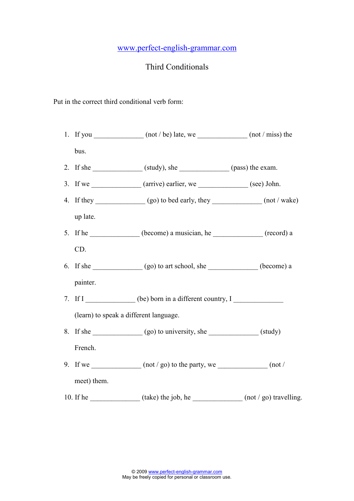## www.perfect-english-grammar.com

## Third Conditionals

Put in the correct third conditional verb form:

- 1. If you  $\frac{1}{\sqrt{1-\frac{1}{n}}}\$  (not / be) late, we  $\frac{1}{\sqrt{1-\frac{1}{n}}}\$  (not / miss) the bus. 2. If she  $\_\_\_\_\_\_$  (study), she  $\_\_\_\_\_\_$  (pass) the exam. 3. If we  $\qquad \qquad$  (arrive) earlier, we  $\qquad \qquad$  (see) John. 4. If they  $\qquad \qquad \qquad (go)$  to bed early, they  $\qquad \qquad \qquad (not / wake)$ up late. 5. If he \_\_\_\_\_\_\_\_\_\_\_\_\_ (become) a musician, he \_\_\_\_\_\_\_\_\_\_\_\_\_\_ (record) a CD. 6. If she  $(go)$  to art school, she  $(become)$  a painter. 7. If I different country, I (learn) to speak a different language.
- 8. If she  $(go)$  to university, she  $(study)$ French.
- 9. If we  $(\text{not} / \text{go})$  to the party, we  $(\text{not} / \text{go})$ meet) them.
- 10. If he  $\frac{10}{2}$  (take) the job, he  $\frac{10}{2}$  (not / go) travelling.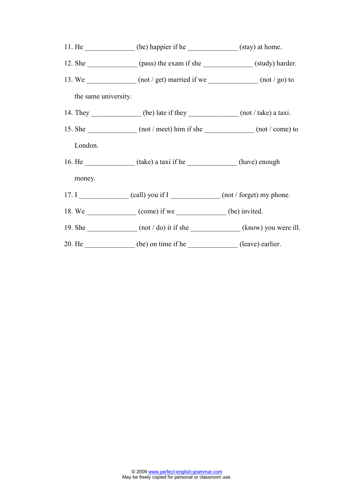